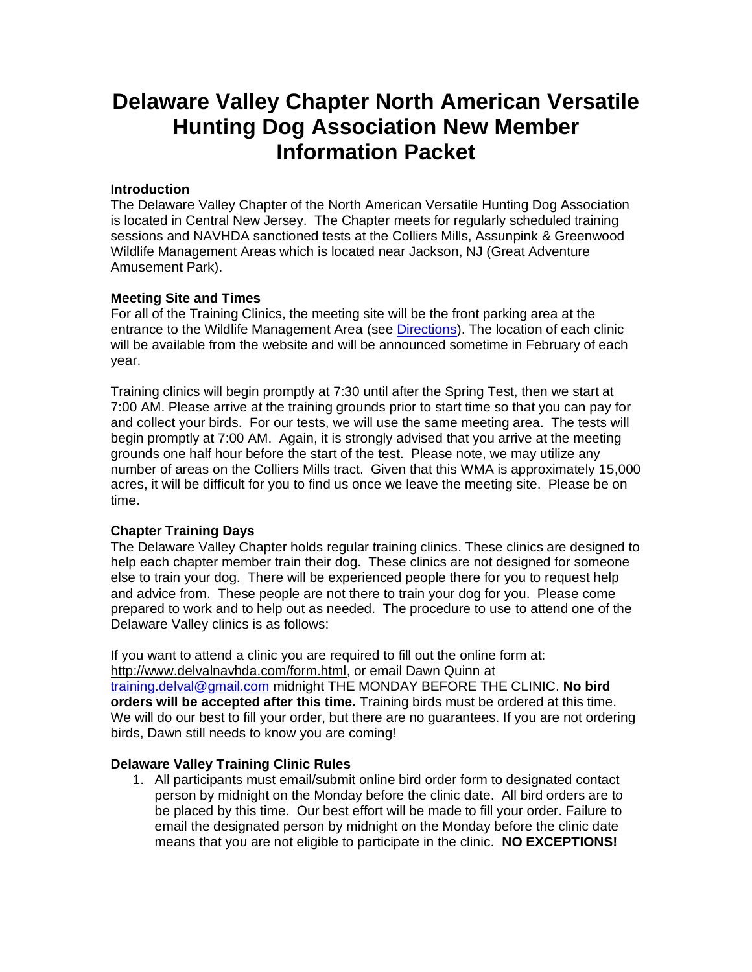# **Delaware Valley Chapter North American Versatile Hunting Dog Association New Member Information Packet**

# **Introduction**

The Delaware Valley Chapter of the North American Versatile Hunting Dog Association is located in Central New Jersey. The Chapter meets for regularly scheduled training sessions and NAVHDA sanctioned tests at the Colliers Mills, Assunpink & Greenwood Wildlife Management Areas which is located near Jackson, NJ (Great Adventure Amusement Park).

## **Meeting Site and Times**

For all of the Training Clinics, the meeting site will be the front parking area at the entrance to the Wildlife Management Area (see [Directions\)](http://delvalnavhda.com/directions.html). The location of each clinic will be available from the website and will be announced sometime in February of each year.

Training clinics will begin promptly at 7:30 until after the Spring Test, then we start at 7:00 AM. Please arrive at the training grounds prior to start time so that you can pay for and collect your birds. For our tests, we will use the same meeting area. The tests will begin promptly at 7:00 AM. Again, it is strongly advised that you arrive at the meeting grounds one half hour before the start of the test. Please note, we may utilize any number of areas on the Colliers Mills tract. Given that this WMA is approximately 15,000 acres, it will be difficult for you to find us once we leave the meeting site. Please be on time.

### **Chapter Training Days**

The Delaware Valley Chapter holds regular training clinics. These clinics are designed to help each chapter member train their dog. These clinics are not designed for someone else to train your dog. There will be experienced people there for you to request help and advice from. These people are not there to train your dog for you. Please come prepared to work and to help out as needed. The procedure to use to attend one of the Delaware Valley clinics is as follows:

If you want to attend a clinic you are required to fill out the online form at: [http://www.delvalnavhda.com/form.html,](http://www.delvalnavhda.com/form.html) or email Dawn Quinn at [training.delval@gmail.com](mailto:training.delvatraining.delval@gmail.com) midnight THE MONDAY BEFORE THE CLINIC. **No bird orders will be accepted after this time.** Training birds must be ordered at this time. We will do our best to fill your order, but there are no guarantees. If you are not ordering birds, Dawn still needs to know you are coming!

# **Delaware Valley Training Clinic Rules**

1. All participants must email/submit online bird order form to designated contact person by midnight on the Monday before the clinic date. All bird orders are to be placed by this time. Our best effort will be made to fill your order. Failure to email the designated person by midnight on the Monday before the clinic date means that you are not eligible to participate in the clinic. **NO EXCEPTIONS!**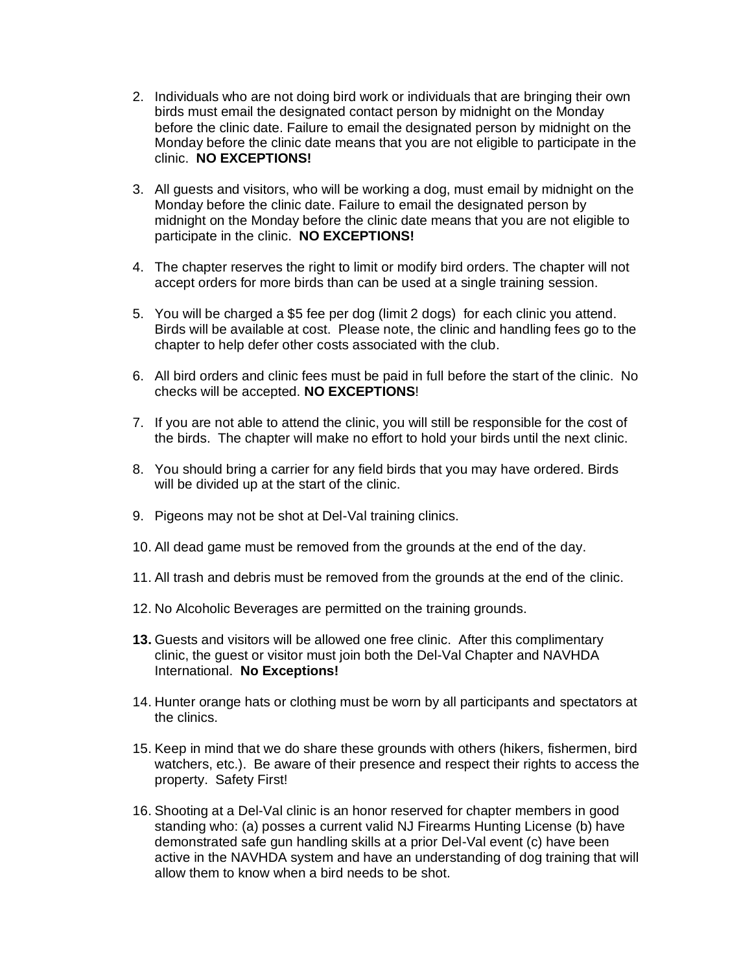- 2. Individuals who are not doing bird work or individuals that are bringing their own birds must email the designated contact person by midnight on the Monday before the clinic date. Failure to email the designated person by midnight on the Monday before the clinic date means that you are not eligible to participate in the clinic. **NO EXCEPTIONS!**
- 3. All guests and visitors, who will be working a dog, must email by midnight on the Monday before the clinic date. Failure to email the designated person by midnight on the Monday before the clinic date means that you are not eligible to participate in the clinic. **NO EXCEPTIONS!**
- 4. The chapter reserves the right to limit or modify bird orders. The chapter will not accept orders for more birds than can be used at a single training session.
- 5. You will be charged a \$5 fee per dog (limit 2 dogs) for each clinic you attend. Birds will be available at cost. Please note, the clinic and handling fees go to the chapter to help defer other costs associated with the club.
- 6. All bird orders and clinic fees must be paid in full before the start of the clinic. No checks will be accepted. **NO EXCEPTIONS**!
- 7. If you are not able to attend the clinic, you will still be responsible for the cost of the birds. The chapter will make no effort to hold your birds until the next clinic.
- 8. You should bring a carrier for any field birds that you may have ordered. Birds will be divided up at the start of the clinic.
- 9. Pigeons may not be shot at Del-Val training clinics.
- 10. All dead game must be removed from the grounds at the end of the day.
- 11. All trash and debris must be removed from the grounds at the end of the clinic.
- 12. No Alcoholic Beverages are permitted on the training grounds.
- **13.** Guests and visitors will be allowed one free clinic. After this complimentary clinic, the guest or visitor must join both the Del-Val Chapter and NAVHDA International. **No Exceptions!**
- 14. Hunter orange hats or clothing must be worn by all participants and spectators at the clinics.
- 15. Keep in mind that we do share these grounds with others (hikers, fishermen, bird watchers, etc.). Be aware of their presence and respect their rights to access the property. Safety First!
- 16. Shooting at a Del-Val clinic is an honor reserved for chapter members in good standing who: (a) posses a current valid NJ Firearms Hunting License (b) have demonstrated safe gun handling skills at a prior Del-Val event (c) have been active in the NAVHDA system and have an understanding of dog training that will allow them to know when a bird needs to be shot.